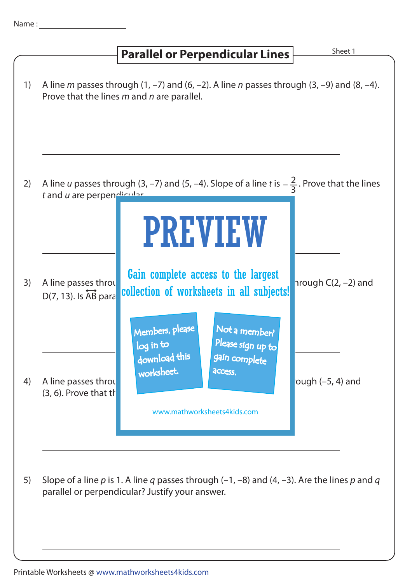